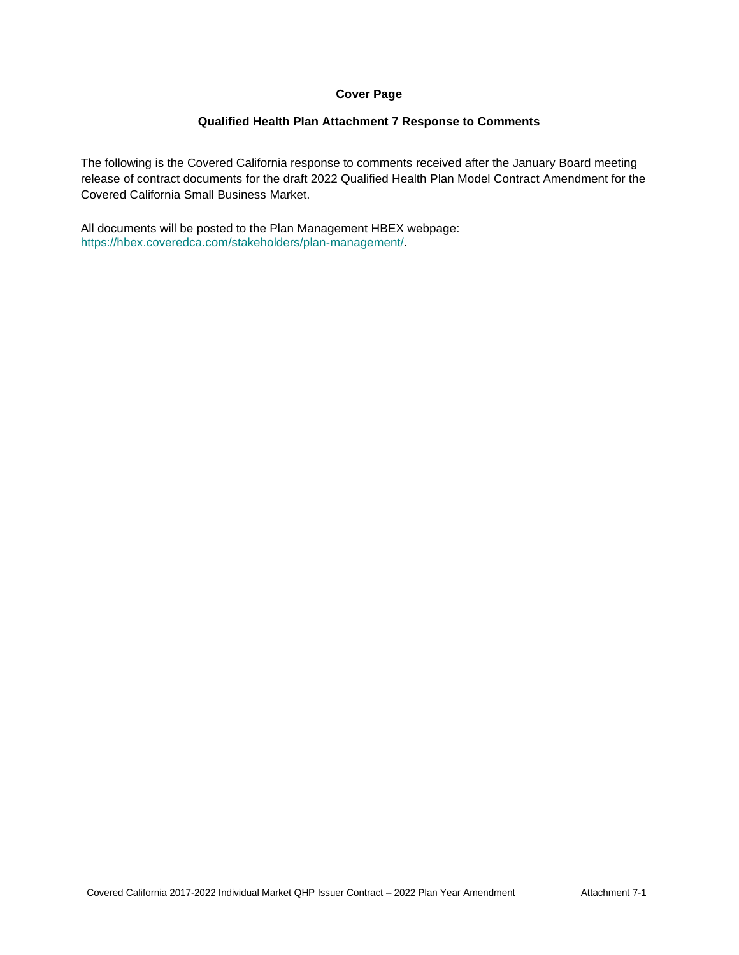## **Cover Page**

## **Qualified Health Plan Attachment 7 Response to Comments**

The following is the Covered California response to comments received after the January Board meeting release of contract documents for the draft 2022 Qualified Health Plan Model Contract Amendment for the Covered California Small Business Market.

All documents will be posted to the Plan Management HBEX webpage: https://hbex.coveredca.com/stakeholders/plan-management/.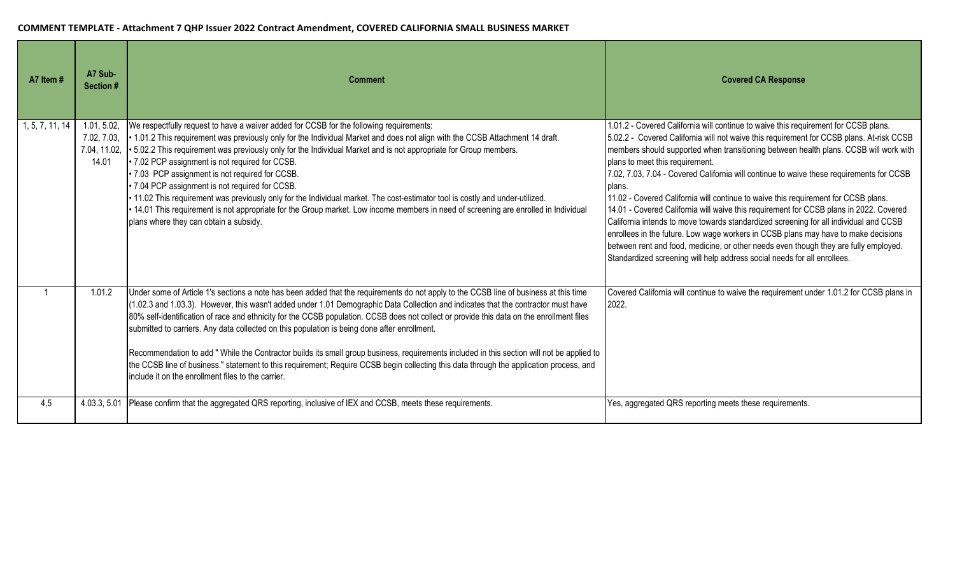| A7 Item #       | A7 Sub-<br>Section # | <b>Comment</b>                                                                                                                                                                                                                                                                                                                                                                                                                                                                                                                                                                                                                                                                                                                                                                                                                                                         | <b>Covered CA Response</b>                                                                                                                                                                                                                                                                                                                                                                                                                                                                                                                                                                                                                                                                                                                                                                                                                                                                                                                           |
|-----------------|----------------------|------------------------------------------------------------------------------------------------------------------------------------------------------------------------------------------------------------------------------------------------------------------------------------------------------------------------------------------------------------------------------------------------------------------------------------------------------------------------------------------------------------------------------------------------------------------------------------------------------------------------------------------------------------------------------------------------------------------------------------------------------------------------------------------------------------------------------------------------------------------------|------------------------------------------------------------------------------------------------------------------------------------------------------------------------------------------------------------------------------------------------------------------------------------------------------------------------------------------------------------------------------------------------------------------------------------------------------------------------------------------------------------------------------------------------------------------------------------------------------------------------------------------------------------------------------------------------------------------------------------------------------------------------------------------------------------------------------------------------------------------------------------------------------------------------------------------------------|
| 1, 5, 7, 11, 14 | 1.01, 5.02,<br>14.01 | We respectfully request to have a waiver added for CCSB for the following requirements:<br>7.02, 7.03, • 1.01.2 This requirement was previously only for the Individual Market and does not align with the CCSB Attachment 14 draft.<br>7.04, 11.02, • 5.02.2 This requirement was previously only for the Individual Market and is not appropriate for Group members.<br>• 7.02 PCP assignment is not required for CCSB.<br>· 7.03 PCP assignment is not required for CCSB.<br>· 7.04 PCP assignment is not required for CCSB.<br>. 11.02 This requirement was previously only for the Individual market. The cost-estimator tool is costly and under-utilized.<br>14.01 This requirement is not appropriate for the Group market. Low income members in need of screening are enrolled in Individual<br>plans where they can obtain a subsidy.                       | 1.01.2 - Covered California will continue to waive this requirement for CCSB plans.<br>5.02.2 - Covered California will not waive this requirement for CCSB plans. At-risk CCSB<br>members should supported when transitioning between health plans. CCSB will work with<br>plans to meet this requirement.<br>7.02, 7.03, 7.04 - Covered California will continue to waive these requirements for CCSB<br>plans.<br>11.02 - Covered California will continue to waive this requirement for CCSB plans.<br>14.01 - Covered California will waive this requirement for CCSB plans in 2022. Covered<br>California intends to move towards standardized screening for all individual and CCSB<br>enrollees in the future. Low wage workers in CCSB plans may have to make decisions<br>between rent and food, medicine, or other needs even though they are fully employed.<br>Standardized screening will help address social needs for all enrollees. |
|                 | 1.01.2               | Under some of Article 1's sections a note has been added that the requirements do not apply to the CCSB line of business at this time<br>(1.02.3 and 1.03.3). However, this wasn't added under 1.01 Demographic Data Collection and indicates that the contractor must have<br>80% self-identification of race and ethnicity for the CCSB population. CCSB does not collect or provide this data on the enrollment files<br>submitted to carriers. Any data collected on this population is being done after enrollment.<br>Recommendation to add "While the Contractor builds its small group business, requirements included in this section will not be applied to<br>the CCSB line of business." statement to this requirement; Require CCSB begin collecting this data through the application process, and<br>include it on the enrollment files to the carrier. | Covered California will continue to waive the requirement under 1.01.2 for CCSB plans in<br>2022.                                                                                                                                                                                                                                                                                                                                                                                                                                                                                                                                                                                                                                                                                                                                                                                                                                                    |
| 4,5             | 4.03.3, 5.01         | Please confirm that the aggregated QRS reporting, inclusive of IEX and CCSB, meets these requirements.                                                                                                                                                                                                                                                                                                                                                                                                                                                                                                                                                                                                                                                                                                                                                                 | Yes, aggregated QRS reporting meets these requirements.                                                                                                                                                                                                                                                                                                                                                                                                                                                                                                                                                                                                                                                                                                                                                                                                                                                                                              |